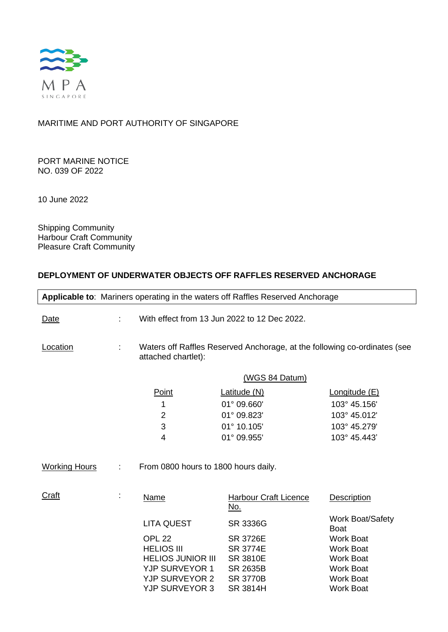

## MARITIME AND PORT AUTHORITY OF SINGAPORE

PORT MARINE NOTICE NO. 039 OF 2022

10 June 2022

Shipping Community Harbour Craft Community Pleasure Craft Community

## **DEPLOYMENT OF UNDERWATER OBJECTS OFF RAFFLES RESERVED ANCHORAGE**

|                      | Applicable to: Mariners operating in the waters off Raffles Reserved Anchorage                   |                                      |                                              |                                        |  |
|----------------------|--------------------------------------------------------------------------------------------------|--------------------------------------|----------------------------------------------|----------------------------------------|--|
| Date                 | ÷.                                                                                               |                                      | With effect from 13 Jun 2022 to 12 Dec 2022. |                                        |  |
| Location             | Waters off Raffles Reserved Anchorage, at the following co-ordinates (see<br>attached chartlet): |                                      |                                              |                                        |  |
|                      | (WGS 84 Datum)                                                                                   |                                      |                                              |                                        |  |
|                      |                                                                                                  | Point                                | Latitude (N)                                 | Longitude (E)                          |  |
|                      |                                                                                                  | 1                                    | 01° 09.660'                                  | 103° 45.156'                           |  |
|                      |                                                                                                  | $\overline{2}$                       | 01° 09.823'                                  | 103° 45.012'                           |  |
|                      |                                                                                                  | 3                                    | 01° 10.105'                                  | 103° 45.279'                           |  |
|                      |                                                                                                  | 4                                    | 01° 09.955'                                  | 103° 45.443'                           |  |
| <b>Working Hours</b> | ÷.                                                                                               | From 0800 hours to 1800 hours daily. |                                              |                                        |  |
| <b>Craft</b>         |                                                                                                  | Name                                 | <b>Harbour Craft Licence</b><br><u>No.</u>   | Description                            |  |
|                      |                                                                                                  | <b>LITA QUEST</b>                    | SR 3336G                                     | <b>Work Boat/Safety</b><br><b>Boat</b> |  |
|                      |                                                                                                  | <b>OPL 22</b>                        | <b>SR 3726E</b>                              | <b>Work Boat</b>                       |  |
|                      |                                                                                                  | <b>HELIOS III</b>                    | <b>SR 3774E</b>                              | <b>Work Boat</b>                       |  |
|                      |                                                                                                  | <b>HELIOS JUNIOR III</b>             | <b>SR 3810E</b>                              | <b>Work Boat</b>                       |  |
|                      |                                                                                                  | <b>YJP SURVEYOR 1</b>                | SR 2635B                                     | <b>Work Boat</b>                       |  |
|                      |                                                                                                  | <b>YJP SURVEYOR 2</b>                | <b>SR 3770B</b>                              | <b>Work Boat</b>                       |  |
|                      |                                                                                                  | <b>YJP SURVEYOR 3</b>                | <b>SR 3814H</b>                              | <b>Work Boat</b>                       |  |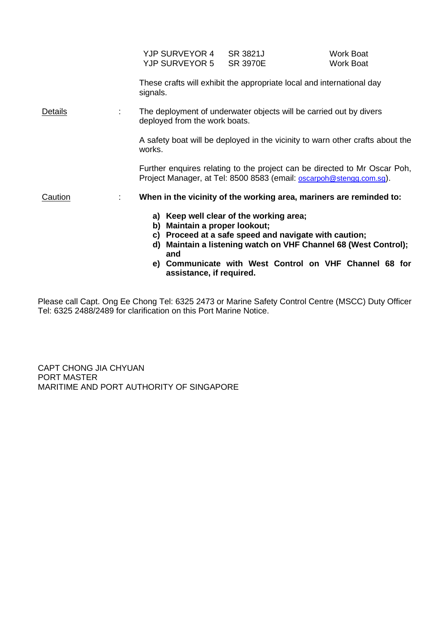|         | YJP SURVEYOR 4 SR 3821J<br>YJP SURVEYOR 5                                                                                                        | <b>SR 3970E</b>                                                                               | <b>Work Boat</b><br><b>Work Boat</b>                                                                                      |  |  |
|---------|--------------------------------------------------------------------------------------------------------------------------------------------------|-----------------------------------------------------------------------------------------------|---------------------------------------------------------------------------------------------------------------------------|--|--|
|         | signals.                                                                                                                                         | These crafts will exhibit the appropriate local and international day                         |                                                                                                                           |  |  |
| Details | The deployment of underwater objects will be carried out by divers<br>deployed from the work boats.                                              |                                                                                               |                                                                                                                           |  |  |
|         | works.                                                                                                                                           | A safety boat will be deployed in the vicinity to warn other crafts about the                 |                                                                                                                           |  |  |
|         | Further enquires relating to the project can be directed to Mr Oscar Poh,<br>Project Manager, at Tel: 8500 8583 (email: oscarpoh@stengg.com.sg). |                                                                                               |                                                                                                                           |  |  |
| Caution | When in the vicinity of the working area, mariners are reminded to:<br>÷                                                                         |                                                                                               |                                                                                                                           |  |  |
|         | Maintain a proper lookout;<br>b)<br>C)<br>and                                                                                                    | a) Keep well clear of the working area;<br>Proceed at a safe speed and navigate with caution; | d) Maintain a listening watch on VHF Channel 68 (West Control);<br>e) Communicate with West Control on VHF Channel 68 for |  |  |

**e) Communicate with West Control on VHF Channel 68 for assistance, if required.**

Please call Capt. Ong Ee Chong Tel: 6325 2473 or Marine Safety Control Centre (MSCC) Duty Officer Tel: 6325 2488/2489 for clarification on this Port Marine Notice.

CAPT CHONG JIA CHYUAN PORT MASTER MARITIME AND PORT AUTHORITY OF SINGAPORE